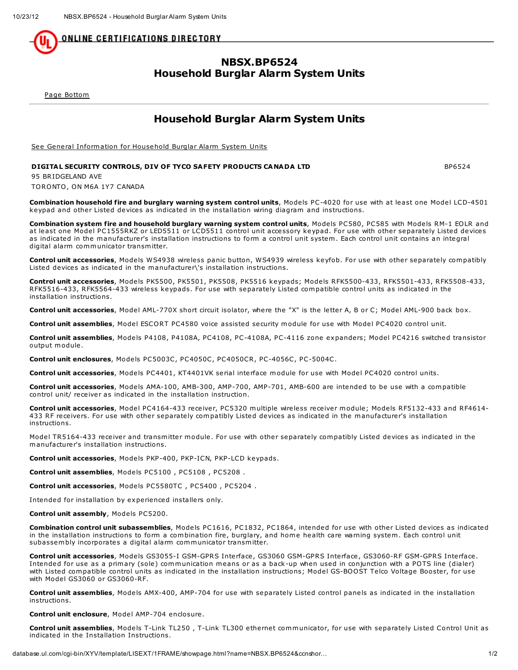<u>ONLINE CERTIFICATIONS DIRECTORY</u>

## NBSX.BP6524 Household Burglar Alarm System Units

Page [Bottom](http://database.ul.com/cgi-bin/XYV/template/LISEXT/1FRAME/showpage.html?name=NBSX.BP6524&ccnshorttitle=Household+Burglar+Alarm+System+Units&objid=1074259657&cfgid=1073741824&version=versionless&parent_id=1073990071&sequence=1#PAGEBOTTOM)

## Household Burglar Alarm System Units

See General [Information](http://database.ul.com/cgi-bin/XYV/template/LISEXT/1FRAME/showpage.html?&name=NBSX.GuideInfo&ccnshorttitle=Household+Burglar+Alarm+System+Units&objid=1074259570&cfgid=1073741824&version=versionless&parent_id=1073990071&sequence=1) for Household Burglar Alarm System Units

## DIGITAL SECURITY CONTROLS, DIV OF TYCO SAFETY PRODUCTS CANADA LTD BP6524

95 BRIDGELAND AVE TORONTO, ON M6A 1Y7 CANADA

Combination household fire and burglary warning system control units, Models PC-4020 for use with at least one Model LCD-4501 keypad and other Listed devices as indicated in the installation wiring diagram and instructions.

Combination system fire and household burglary warning system control units, Models PC580, PC585 with Models RM-1 EOLR and at least one Model PC1555RKZ or LED5511 or LCD5511 control unit accessory keypad. For use with other separately Listed devices as indicated in the manufacturer's installation instructions to form a control unit system. Each control unit contains an integral digital alarm communicator transmitter.

Control unit accessories, Models WS4938 wireless panic button, WS4939 wireless keyfob. For use with other separately compatibly Listed devices as indicated in the manufacturer\'s installation instructions.

Control unit accessories, Models PK5500, PK5501, PK5508, PK5516 keypads; Models RFK5500-433, RFK5501-433, RFK5508-433, RFK5516-433, RFK5564-433 wireless keypads. For use with separately Listed compatible control units as indicated in the installation instructions.

Control unit accessories, Model AML-770X short circuit isolator, where the "X" is the letter A, B or C; Model AML-900 back box.

Control unit assemblies, Model ESCORT PC4580 voice assisted security module for use with Model PC4020 control unit.

Control unit assemblies, Models P4108, P4108A, PC4108, PC-4108A, PC-4116 zone expanders; Model PC4216 switched transistor output module.

Control unit enclosures, Models PC5003C, PC4050C, PC4050CR, PC-4056C, PC-5004C.

Control unit accessories, Models PC4401, KT4401VK serial interface module for use with Model PC4020 control units.

Control unit accessories, Models AMA-100, AMB-300, AMP-700, AMP-701, AMB-600 are intended to be use with a compatible control unit/ receiver as indicated in the installation instruction.

Control unit accessories, Model PC4164-433 receiver, PC5320 multiple wireless receiver module; Models RF5132-433 and RF4614-433 RF receivers. For use with other separately compatibly Listed devices as indicated in the manufacturer's installation instructions.

Model TR5164-433 receiver and transmitter module. For use with other separately compatibly Listed devices as indicated in the manufacturer's installation instructions.

Control unit accessories, Models PKP-400, PKP-ICN, PKP-LCD keypads.

Control unit assemblies, Models PC5100 , PC5108 , PC5208 .

Control unit accessories, Models PC5580TC , PC5400 , PC5204 .

Intended for installation by experienced installers only.

Control unit assembly, Models PC5200.

Combination control unit subassemblies, Models PC1616, PC1832, PC1864, intended for use with other Listed devices as indicated in the installation instructions to form a combination fire, burglary, and home health care warning system. Each control unit subassembly incorporates a digital alarm communicator transmitter.

Control unit accessories, Models GS3055-I GSM-GPRS Interface, GS3060 GSM-GPRS Interface, GS3060-RF GSM-GPRS Interface. Intended for use as a primary (sole) communication means or as a back-up when used in conjunction with a POTS line (dialer) with Listed compatible control units as indicated in the installation instructions; Model GS-BOOST Telco Voltage Booster, for use with Model GS3060 or GS3060-RF.

Control unit assemblies, Models AMX-400, AMP-704 for use with separately Listed control panels as indicated in the installation instructions.

Control unit enclosure, Model AMP-704 enclosure.

Control unit assemblies, Models T-Link TL250, T-Link TL300 ethernet communicator, for use with separately Listed Control Unit as indicated in the Installation Instructions.

database.ul.com/cgi-bin/XYV/template/LISEXT/1FRAME/showpage.html?name=NBSX.BP6524&ccnshor… 1/2